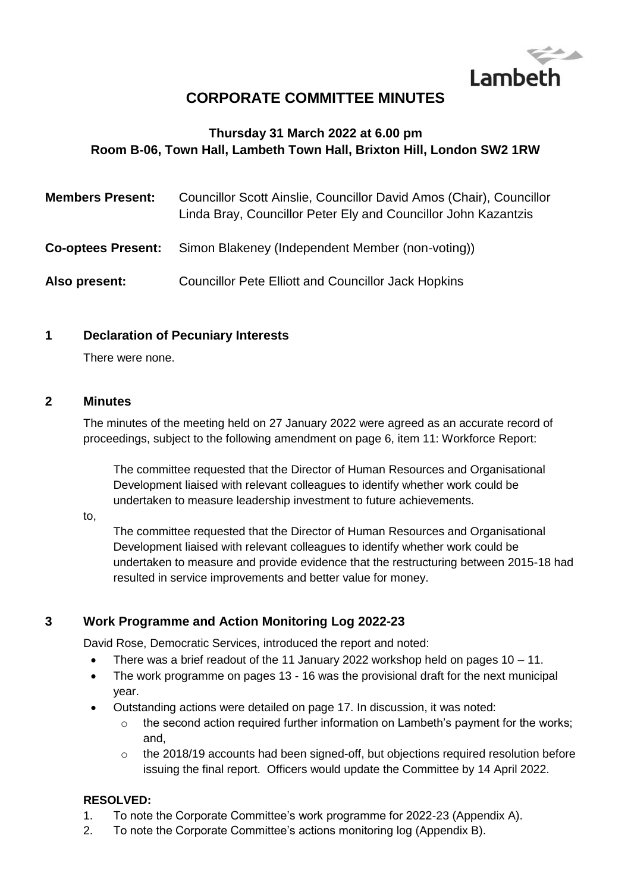

# **CORPORATE COMMITTEE MINUTES**

# **Thursday 31 March 2022 at 6.00 pm Room B-06, Town Hall, Lambeth Town Hall, Brixton Hill, London SW2 1RW**

| <b>Members Present:</b>   | Councillor Scott Ainslie, Councillor David Amos (Chair), Councillor<br>Linda Bray, Councillor Peter Ely and Councillor John Kazantzis |
|---------------------------|---------------------------------------------------------------------------------------------------------------------------------------|
| <b>Co-optees Present:</b> | Simon Blakeney (Independent Member (non-voting))                                                                                      |
| Also present:             | <b>Councillor Pete Elliott and Councillor Jack Hopkins</b>                                                                            |

#### **1 Declaration of Pecuniary Interests**

There were none.

#### **2 Minutes**

The minutes of the meeting held on 27 January 2022 were agreed as an accurate record of proceedings, subject to the following amendment on page 6, item 11: Workforce Report:

The committee requested that the Director of Human Resources and Organisational Development liaised with relevant colleagues to identify whether work could be undertaken to measure leadership investment to future achievements.

#### to,

The committee requested that the Director of Human Resources and Organisational Development liaised with relevant colleagues to identify whether work could be undertaken to measure and provide evidence that the restructuring between 2015-18 had resulted in service improvements and better value for money.

#### **3 Work Programme and Action Monitoring Log 2022-23**

David Rose, Democratic Services, introduced the report and noted:

- There was a brief readout of the 11 January 2022 workshop held on pages  $10 11$ .
- The work programme on pages 13 16 was the provisional draft for the next municipal year.
- Outstanding actions were detailed on page 17. In discussion, it was noted:
	- $\circ$  the second action required further information on Lambeth's payment for the works; and,
	- $\circ$  the 2018/19 accounts had been signed-off, but objections required resolution before issuing the final report. Officers would update the Committee by 14 April 2022.

#### **RESOLVED:**

- 1. To note the Corporate Committee's work programme for 2022-23 (Appendix A).
- 2. To note the Corporate Committee's actions monitoring log (Appendix B).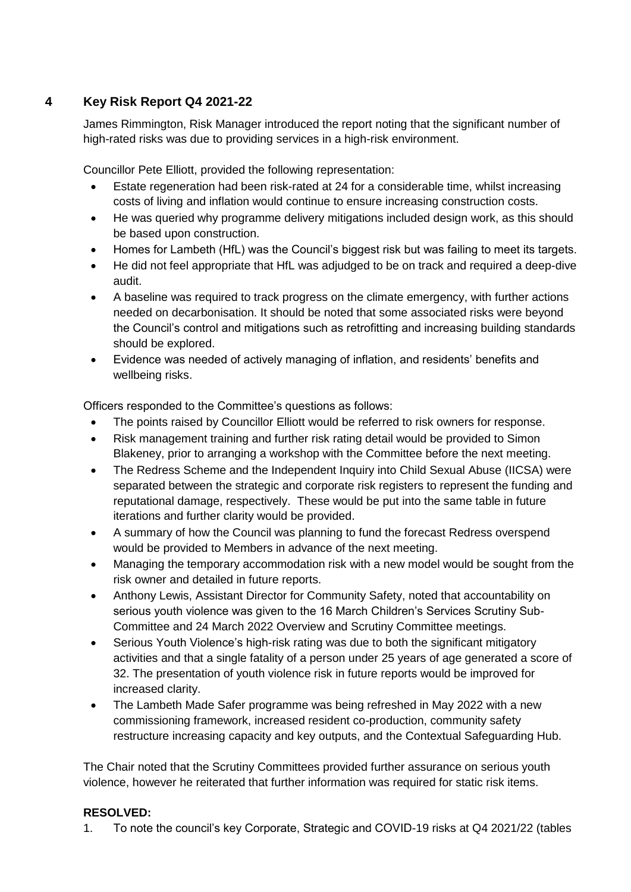# **4 Key Risk Report Q4 2021-22**

James Rimmington, Risk Manager introduced the report noting that the significant number of high-rated risks was due to providing services in a high-risk environment.

Councillor Pete Elliott, provided the following representation:

- Estate regeneration had been risk-rated at 24 for a considerable time, whilst increasing costs of living and inflation would continue to ensure increasing construction costs.
- He was queried why programme delivery mitigations included design work, as this should be based upon construction.
- Homes for Lambeth (HfL) was the Council's biggest risk but was failing to meet its targets.
- He did not feel appropriate that HfL was adjudged to be on track and required a deep-dive audit.
- A baseline was required to track progress on the climate emergency, with further actions needed on decarbonisation. It should be noted that some associated risks were beyond the Council's control and mitigations such as retrofitting and increasing building standards should be explored.
- Evidence was needed of actively managing of inflation, and residents' benefits and wellbeing risks.

Officers responded to the Committee's questions as follows:

- The points raised by Councillor Elliott would be referred to risk owners for response.
- Risk management training and further risk rating detail would be provided to Simon Blakeney, prior to arranging a workshop with the Committee before the next meeting.
- The Redress Scheme and the Independent Inquiry into Child Sexual Abuse (IICSA) were separated between the strategic and corporate risk registers to represent the funding and reputational damage, respectively. These would be put into the same table in future iterations and further clarity would be provided.
- A summary of how the Council was planning to fund the forecast Redress overspend would be provided to Members in advance of the next meeting.
- Managing the temporary accommodation risk with a new model would be sought from the risk owner and detailed in future reports.
- Anthony Lewis, Assistant Director for Community Safety, noted that accountability on serious youth violence was given to the 16 March Children's Services Scrutiny Sub-Committee and 24 March 2022 Overview and Scrutiny Committee meetings.
- Serious Youth Violence's high-risk rating was due to both the significant mitigatory activities and that a single fatality of a person under 25 years of age generated a score of 32. The presentation of youth violence risk in future reports would be improved for increased clarity.
- The Lambeth Made Safer programme was being refreshed in May 2022 with a new commissioning framework, increased resident co-production, community safety restructure increasing capacity and key outputs, and the Contextual Safeguarding Hub.

The Chair noted that the Scrutiny Committees provided further assurance on serious youth violence, however he reiterated that further information was required for static risk items.

# **RESOLVED:**

1. To note the council's key Corporate, Strategic and COVID-19 risks at Q4 2021/22 (tables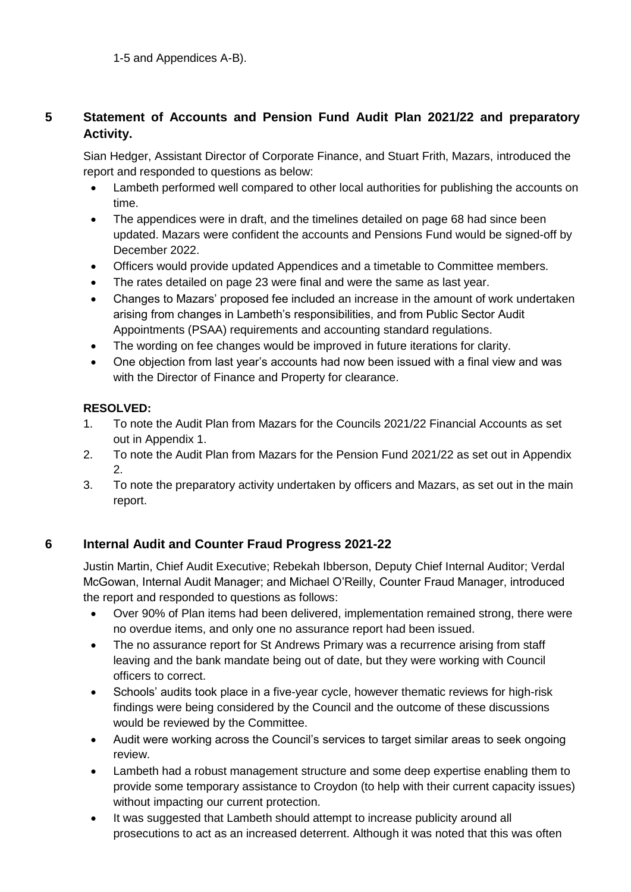# **5 Statement of Accounts and Pension Fund Audit Plan 2021/22 and preparatory Activity.**

Sian Hedger, Assistant Director of Corporate Finance, and Stuart Frith, Mazars, introduced the report and responded to questions as below:

- Lambeth performed well compared to other local authorities for publishing the accounts on time.
- The appendices were in draft, and the timelines detailed on page 68 had since been updated. Mazars were confident the accounts and Pensions Fund would be signed-off by December 2022.
- Officers would provide updated Appendices and a timetable to Committee members.
- The rates detailed on page 23 were final and were the same as last year.
- Changes to Mazars' proposed fee included an increase in the amount of work undertaken arising from changes in Lambeth's responsibilities, and from Public Sector Audit Appointments (PSAA) requirements and accounting standard regulations.
- The wording on fee changes would be improved in future iterations for clarity.
- One objection from last year's accounts had now been issued with a final view and was with the Director of Finance and Property for clearance.

#### **RESOLVED:**

- 1. To note the Audit Plan from Mazars for the Councils 2021/22 Financial Accounts as set out in Appendix 1.
- 2. To note the Audit Plan from Mazars for the Pension Fund 2021/22 as set out in Appendix 2.
- 3. To note the preparatory activity undertaken by officers and Mazars, as set out in the main report.

# **6 Internal Audit and Counter Fraud Progress 2021-22**

Justin Martin, Chief Audit Executive; Rebekah Ibberson, Deputy Chief Internal Auditor; Verdal McGowan, Internal Audit Manager; and Michael O'Reilly, Counter Fraud Manager, introduced the report and responded to questions as follows:

- Over 90% of Plan items had been delivered, implementation remained strong, there were no overdue items, and only one no assurance report had been issued.
- The no assurance report for St Andrews Primary was a recurrence arising from staff leaving and the bank mandate being out of date, but they were working with Council officers to correct.
- Schools' audits took place in a five-year cycle, however thematic reviews for high-risk findings were being considered by the Council and the outcome of these discussions would be reviewed by the Committee.
- Audit were working across the Council's services to target similar areas to seek ongoing review.
- Lambeth had a robust management structure and some deep expertise enabling them to provide some temporary assistance to Croydon (to help with their current capacity issues) without impacting our current protection.
- It was suggested that Lambeth should attempt to increase publicity around all prosecutions to act as an increased deterrent. Although it was noted that this was often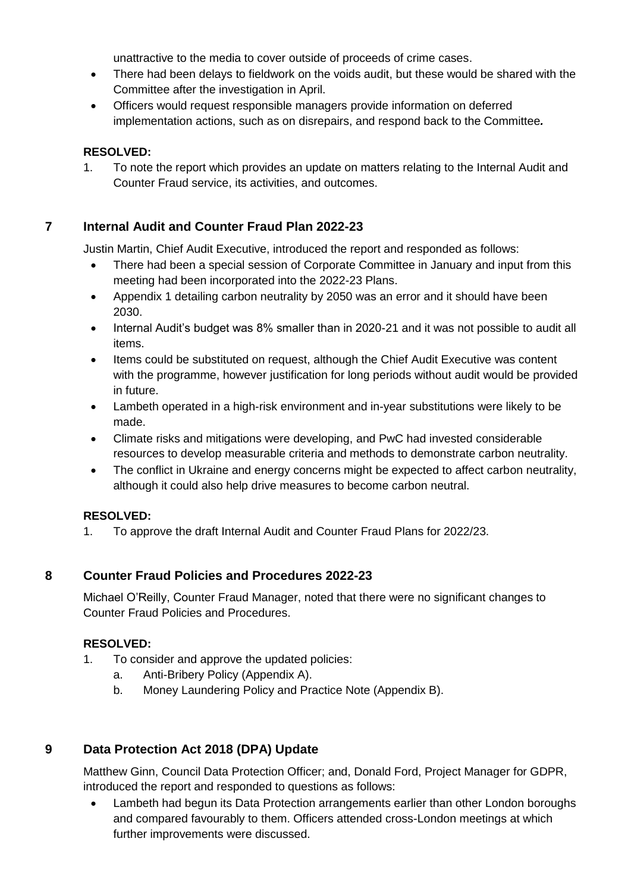unattractive to the media to cover outside of proceeds of crime cases.

- There had been delays to fieldwork on the voids audit, but these would be shared with the Committee after the investigation in April.
- Officers would request responsible managers provide information on deferred implementation actions, such as on disrepairs, and respond back to the Committee*.*

#### **RESOLVED:**

1. To note the report which provides an update on matters relating to the Internal Audit and Counter Fraud service, its activities, and outcomes.

# **7 Internal Audit and Counter Fraud Plan 2022-23**

Justin Martin, Chief Audit Executive, introduced the report and responded as follows:

- There had been a special session of Corporate Committee in January and input from this meeting had been incorporated into the 2022-23 Plans.
- Appendix 1 detailing carbon neutrality by 2050 was an error and it should have been 2030.
- Internal Audit's budget was 8% smaller than in 2020-21 and it was not possible to audit all items.
- Items could be substituted on request, although the Chief Audit Executive was content with the programme, however justification for long periods without audit would be provided in future.
- Lambeth operated in a high-risk environment and in-year substitutions were likely to be made.
- Climate risks and mitigations were developing, and PwC had invested considerable resources to develop measurable criteria and methods to demonstrate carbon neutrality.
- The conflict in Ukraine and energy concerns might be expected to affect carbon neutrality, although it could also help drive measures to become carbon neutral.

# **RESOLVED:**

1. To approve the draft Internal Audit and Counter Fraud Plans for 2022/23.

# **8 Counter Fraud Policies and Procedures 2022-23**

Michael O'Reilly, Counter Fraud Manager, noted that there were no significant changes to Counter Fraud Policies and Procedures.

# **RESOLVED:**

- 1. To consider and approve the updated policies:
	- a. Anti-Bribery Policy (Appendix A).
	- b. Money Laundering Policy and Practice Note (Appendix B).

# **9 Data Protection Act 2018 (DPA) Update**

Matthew Ginn, Council Data Protection Officer; and, Donald Ford, Project Manager for GDPR, introduced the report and responded to questions as follows:

• Lambeth had begun its Data Protection arrangements earlier than other London boroughs and compared favourably to them. Officers attended cross-London meetings at which further improvements were discussed.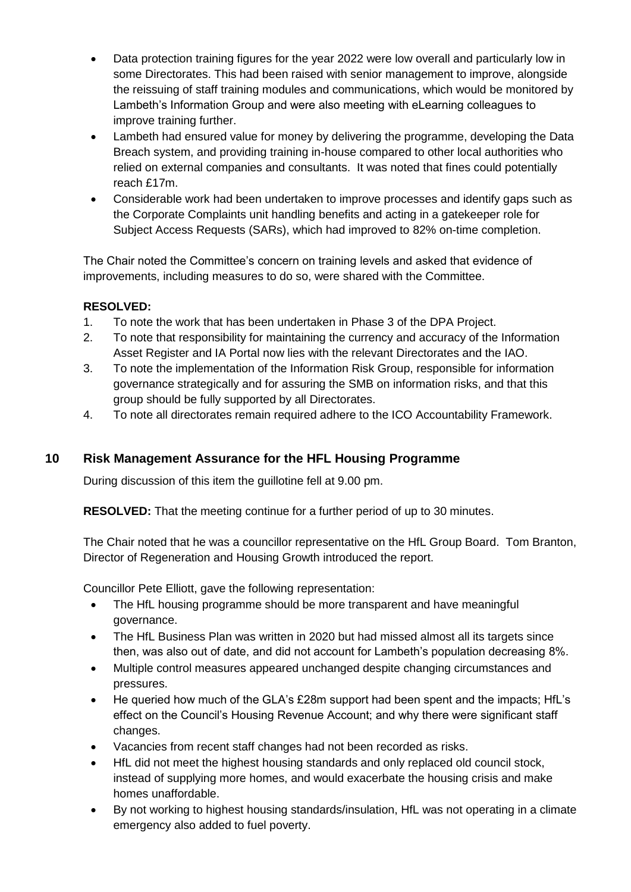- Data protection training figures for the year 2022 were low overall and particularly low in some Directorates. This had been raised with senior management to improve, alongside the reissuing of staff training modules and communications, which would be monitored by Lambeth's Information Group and were also meeting with eLearning colleagues to improve training further.
- Lambeth had ensured value for money by delivering the programme, developing the Data Breach system, and providing training in-house compared to other local authorities who relied on external companies and consultants. It was noted that fines could potentially reach £17m.
- Considerable work had been undertaken to improve processes and identify gaps such as the Corporate Complaints unit handling benefits and acting in a gatekeeper role for Subject Access Requests (SARs), which had improved to 82% on-time completion.

The Chair noted the Committee's concern on training levels and asked that evidence of improvements, including measures to do so, were shared with the Committee.

#### **RESOLVED:**

- 1. To note the work that has been undertaken in Phase 3 of the DPA Project.
- 2. To note that responsibility for maintaining the currency and accuracy of the Information Asset Register and IA Portal now lies with the relevant Directorates and the IAO.
- 3. To note the implementation of the Information Risk Group, responsible for information governance strategically and for assuring the SMB on information risks, and that this group should be fully supported by all Directorates.
- 4. To note all directorates remain required adhere to the ICO Accountability Framework.

# **10 Risk Management Assurance for the HFL Housing Programme**

During discussion of this item the guillotine fell at 9.00 pm.

**RESOLVED:** That the meeting continue for a further period of up to 30 minutes.

The Chair noted that he was a councillor representative on the HfL Group Board. Tom Branton, Director of Regeneration and Housing Growth introduced the report.

Councillor Pete Elliott, gave the following representation:

- The HfL housing programme should be more transparent and have meaningful governance.
- The HfL Business Plan was written in 2020 but had missed almost all its targets since then, was also out of date, and did not account for Lambeth's population decreasing 8%.
- Multiple control measures appeared unchanged despite changing circumstances and pressures.
- He queried how much of the GLA's £28m support had been spent and the impacts; HfL's effect on the Council's Housing Revenue Account; and why there were significant staff changes.
- Vacancies from recent staff changes had not been recorded as risks.
- HfL did not meet the highest housing standards and only replaced old council stock, instead of supplying more homes, and would exacerbate the housing crisis and make homes unaffordable.
- By not working to highest housing standards/insulation, HfL was not operating in a climate emergency also added to fuel poverty.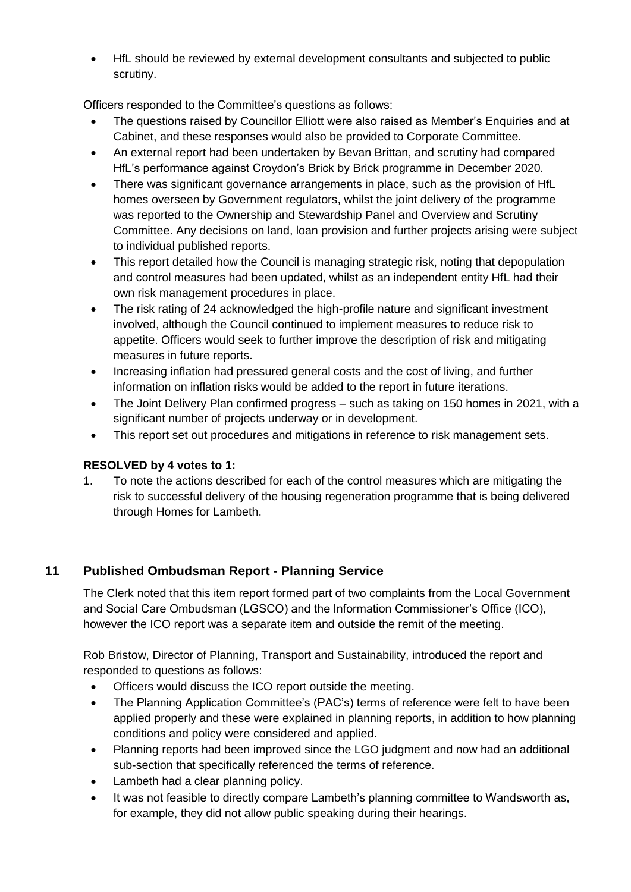HfL should be reviewed by external development consultants and subjected to public scrutiny.

Officers responded to the Committee's questions as follows:

- The questions raised by Councillor Elliott were also raised as Member's Enquiries and at Cabinet, and these responses would also be provided to Corporate Committee.
- An external report had been undertaken by Bevan Brittan, and scrutiny had compared HfL's performance against Croydon's Brick by Brick programme in December 2020.
- There was significant governance arrangements in place, such as the provision of HfL homes overseen by Government regulators, whilst the joint delivery of the programme was reported to the Ownership and Stewardship Panel and Overview and Scrutiny Committee. Any decisions on land, loan provision and further projects arising were subject to individual published reports.
- This report detailed how the Council is managing strategic risk, noting that depopulation and control measures had been updated, whilst as an independent entity HfL had their own risk management procedures in place.
- The risk rating of 24 acknowledged the high-profile nature and significant investment involved, although the Council continued to implement measures to reduce risk to appetite. Officers would seek to further improve the description of risk and mitigating measures in future reports.
- Increasing inflation had pressured general costs and the cost of living, and further information on inflation risks would be added to the report in future iterations.
- The Joint Delivery Plan confirmed progress such as taking on 150 homes in 2021, with a significant number of projects underway or in development.
- This report set out procedures and mitigations in reference to risk management sets.

#### **RESOLVED by 4 votes to 1:**

1. To note the actions described for each of the control measures which are mitigating the risk to successful delivery of the housing regeneration programme that is being delivered through Homes for Lambeth.

# **11 Published Ombudsman Report - Planning Service**

The Clerk noted that this item report formed part of two complaints from the Local Government and Social Care Ombudsman (LGSCO) and the Information Commissioner's Office (ICO), however the ICO report was a separate item and outside the remit of the meeting.

Rob Bristow, Director of Planning, Transport and Sustainability, introduced the report and responded to questions as follows:

- Officers would discuss the ICO report outside the meeting.
- The Planning Application Committee's (PAC's) terms of reference were felt to have been applied properly and these were explained in planning reports, in addition to how planning conditions and policy were considered and applied.
- Planning reports had been improved since the LGO judgment and now had an additional sub-section that specifically referenced the terms of reference.
- Lambeth had a clear planning policy.
- It was not feasible to directly compare Lambeth's planning committee to Wandsworth as, for example, they did not allow public speaking during their hearings.